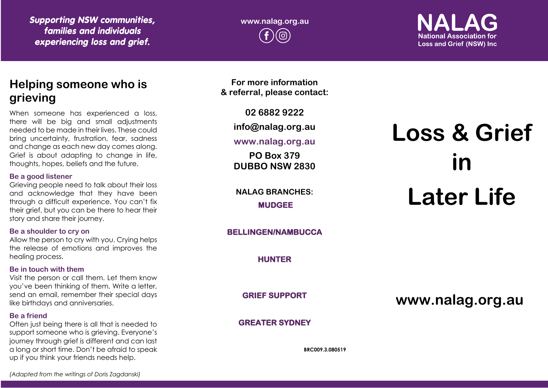*Supporting NSW communities, families and individuals experiencing loss and grief.*

**www.nalag.org.au**

**National Association for Loss and Grief (NSW) Inc.** 

## **Helping someone who is grieving**

When someone has experienced a loss, there will be big and small adjustments needed to be made in their lives. These could bring uncertainty, frustration, fear, sadness and change as each new day comes along. Grief is about adapting to change in life, thoughts, hopes, beliefs and the future.

#### **Be a good listener**

Grieving people need to talk about their loss and acknowledge that they have been through a difficult experience. You can't fix their grief, but you can be there to hear their story and share their journey.

### **Be a shoulder to cry on**

Allow the person to cry with you. Crying helps the release of emotions and improves the healing process.

### **Be in touch with them**

Visit the person or call them. Let them know you've been thinking of them. Write a letter, send an email, remember their special days like birthdays and anniversaries.

## **Be a friend**

Often just being there is all that is needed to support someone who is grieving. Everyone's journey through grief is different and can last a long or short time. Don't be afraid to speak up if you think your friends needs help.

**For more information & referral, please contact:**

**02 6882 9222**

**info@nalag.org.au**

**www.nalag.org.au**

**PO Box 379 DUBBO NSW 2830**

**NALAG BRANCHES: MUDGEE** 

**BELLINGEN/NAMBUCCA** 

**HUNTER** 

**GRIEF SUPPORT** 

**GREATER SYDNEY** 

**BRC009.3.080519**

# **Loss & Grief in Later Life**

**www.nalag.org.au**

*(Adapted from the writings of Doris Zagdanski)*